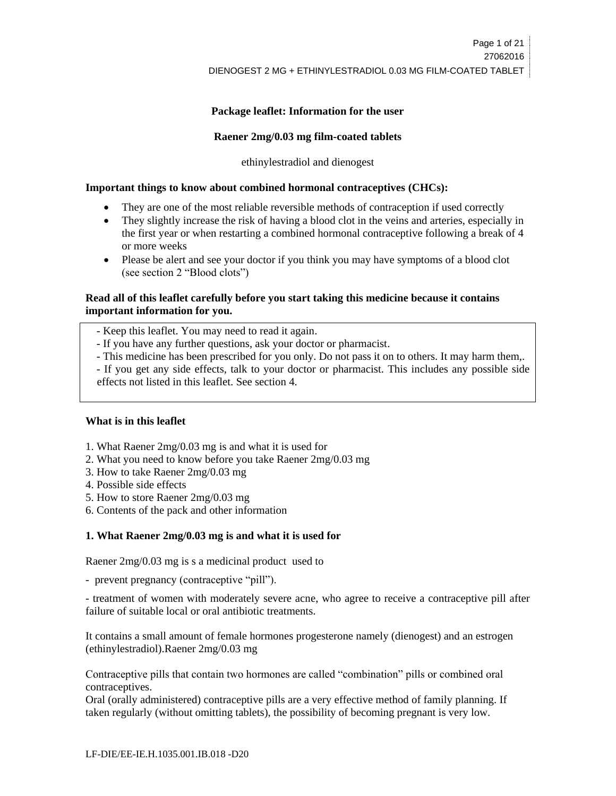# **Package leaflet: Information for the user**

#### **Raener 2mg/0.03 mg film-coated tablets**

ethinylestradiol and dienogest

#### **Important things to know about combined hormonal contraceptives (CHCs):**

- They are one of the most reliable reversible methods of contraception if used correctly
- They slightly increase the risk of having a blood clot in the veins and arteries, especially in the first year or when restarting a combined hormonal contraceptive following a break of 4 or more weeks
- Please be alert and see your doctor if you think you may have symptoms of a blood clot (see section 2 "Blood clots")

# **Read all of this leaflet carefully before you start taking this medicine because it contains important information for you.**

- Keep this leaflet. You may need to read it again.

- If you have any further questions, ask your doctor or pharmacist.
- This medicine has been prescribed for you only. Do not pass it on to others. It may harm them,.
- If you get any side effects, talk to your doctor or pharmacist. This includes any possible side effects not listed in this leaflet. See section 4.

#### **What is in this leaflet**

- 1. What Raener 2mg/0.03 mg is and what it is used for
- 2. What you need to know before you take Raener 2mg/0.03 mg
- 3. How to take Raener 2mg/0.03 mg
- 4. Possible side effects
- 5. How to store Raener 2mg/0.03 mg
- 6. Contents of the pack and other information

# **1. What Raener 2mg/0.03 mg is and what it is used for**

Raener 2mg/0.03 mg is s a medicinal product used to

- prevent pregnancy (contraceptive "pill").

- treatment of women with moderately severe acne, who agree to receive a contraceptive pill after failure of suitable local or oral antibiotic treatments.

It contains a small amount of female hormones progesterone namely (dienogest) and an estrogen (ethinylestradiol).Raener 2mg/0.03 mg

Contraceptive pills that contain two hormones are called "combination" pills or combined oral contraceptives.

Oral (orally administered) contraceptive pills are a very effective method of family planning. If taken regularly (without omitting tablets), the possibility of becoming pregnant is very low.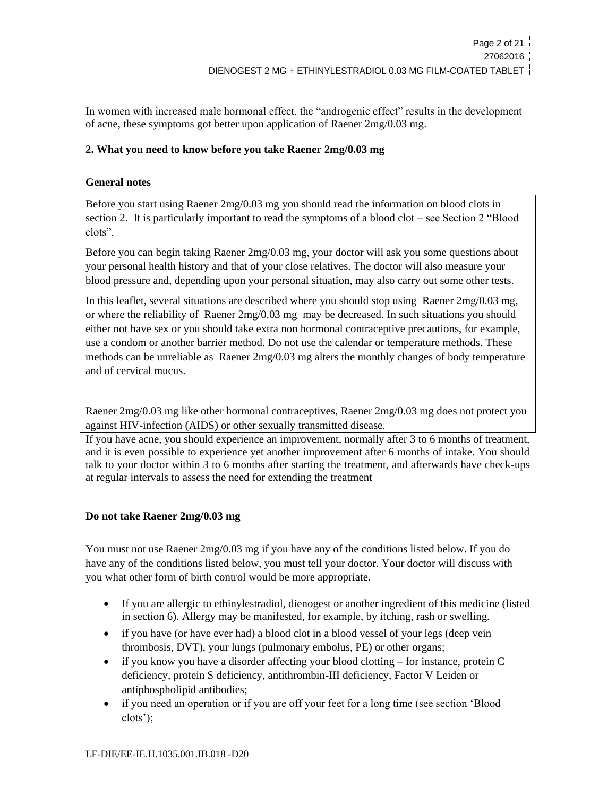In women with increased male hormonal effect, the "androgenic effect" results in the development of acne, these symptoms got better upon application of Raener 2mg/0.03 mg.

# **2. What you need to know before you take Raener 2mg/0.03 mg**

# **General notes**

Before you start using Raener 2mg/0.03 mg you should read the information on blood clots in section 2. It is particularly important to read the symptoms of a blood clot – see Section 2 "Blood clots".

Before you can begin taking Raener 2mg/0.03 mg, your doctor will ask you some questions about your personal health history and that of your close relatives. The doctor will also measure your blood pressure and, depending upon your personal situation, may also carry out some other tests.

In this leaflet, several situations are described where you should stop using Raener 2mg/0.03 mg, or where the reliability of Raener 2mg/0.03 mg may be decreased. In such situations you should either not have sex or you should take extra non hormonal contraceptive precautions, for example, use a condom or another barrier method. Do not use the calendar or temperature methods. These methods can be unreliable as Raener 2mg/0.03 mg alters the monthly changes of body temperature and of cervical mucus.

Raener 2mg/0.03 mg like other hormonal contraceptives, Raener 2mg/0.03 mg does not protect you against HIV-infection (AIDS) or other sexually transmitted disease.

If you have acne, you should experience an improvement, normally after 3 to 6 months of treatment, and it is even possible to experience yet another improvement after 6 months of intake. You should talk to your doctor within 3 to 6 months after starting the treatment, and afterwards have check-ups at regular intervals to assess the need for extending the treatment

# **Do not take Raener 2mg/0.03 mg**

You must not use Raener 2mg/0.03 mg if you have any of the conditions listed below. If you do have any of the conditions listed below, you must tell your doctor. Your doctor will discuss with you what other form of birth control would be more appropriate.

- If you are allergic to ethinylestradiol, dienogest or another ingredient of this medicine (listed in section 6). Allergy may be manifested, for example, by itching, rash or swelling.
- if you have (or have ever had) a blood clot in a blood vessel of your legs (deep vein thrombosis, DVT), your lungs (pulmonary embolus, PE) or other organs;
- $\bullet$  if you know you have a disorder affecting your blood clotting for instance, protein C deficiency, protein S deficiency, antithrombin-III deficiency, Factor V Leiden or antiphospholipid antibodies;
- if you need an operation or if you are off your feet for a long time (see section 'Blood clots');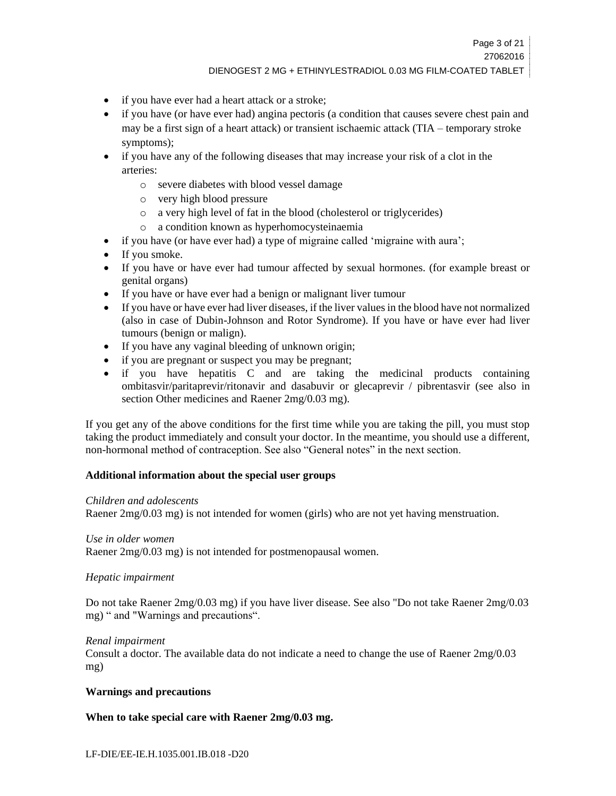# DIENOGEST 2 MG + ETHINYLESTRADIOL 0.03 MG FILM-COATED TABLET

- if you have ever had a heart attack or a stroke;
- if you have (or have ever had) angina pectoris (a condition that causes severe chest pain and may be a first sign of a heart attack) or transient ischaemic attack (TIA – temporary stroke symptoms);
- if you have any of the following diseases that may increase your risk of a clot in the arteries:
	- o severe diabetes with blood vessel damage
	- o very high blood pressure
	- o a very high level of fat in the blood (cholesterol or triglycerides)
	- o a condition known as hyperhomocysteinaemia
- if you have (or have ever had) a type of migraine called 'migraine with aura';
- If you smoke.
- If you have or have ever had tumour affected by sexual hormones. (for example breast or genital organs)
- If you have or have ever had a benign or malignant liver tumour
- If you have or have ever had liver diseases, if the liver values in the blood have not normalized (also in case of Dubin-Johnson and Rotor Syndrome). If you have or have ever had liver tumours (benign or malign).
- If you have any vaginal bleeding of unknown origin;
- if you are pregnant or suspect you may be pregnant;
- if you have hepatitis C and are taking the medicinal products containing ombitasvir/paritaprevir/ritonavir and dasabuvir or glecaprevir / pibrentasvir (see also in section Other medicines and Raener 2mg/0.03 mg).

If you get any of the above conditions for the first time while you are taking the pill, you must stop taking the product immediately and consult your doctor. In the meantime, you should use a different, non-hormonal method of contraception. See also "General notes" in the next section.

# **Additional information about the special user groups**

# *Children and adolescents*

Raener 2mg/0.03 mg) is not intended for women (girls) who are not yet having menstruation.

# *Use in older women*

Raener 2mg/0.03 mg) is not intended for postmenopausal women.

# *Hepatic impairment*

Do not take Raener 2mg/0.03 mg) if you have liver disease. See also "Do not take Raener 2mg/0.03 mg) " and "Warnings and precautions".

# *Renal impairment*

Consult a doctor. The available data do not indicate a need to change the use of Raener 2mg/0.03 mg)

# **Warnings and precautions**

# **When to take special care with Raener 2mg/0.03 mg.**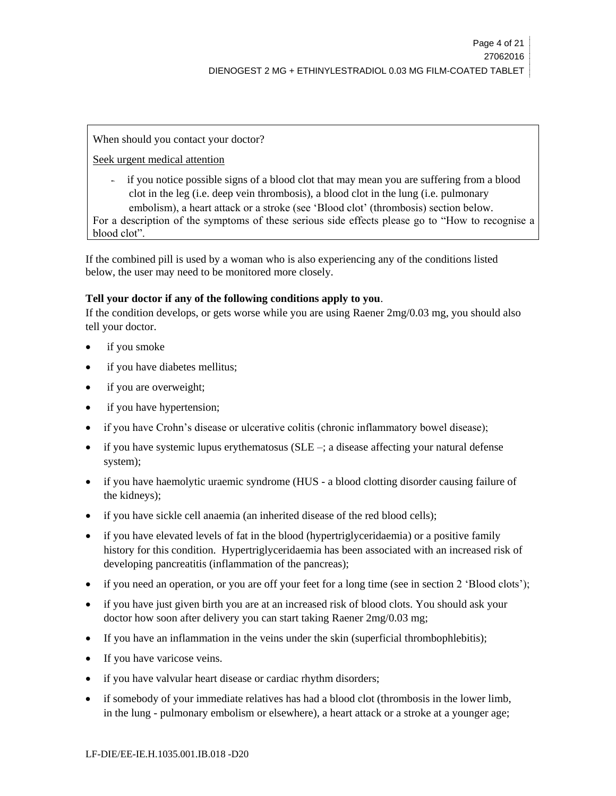When should you contact your doctor?

Seek urgent medical attention

- if you notice possible signs of a blood clot that may mean you are suffering from a blood clot in the leg (i.e. deep vein thrombosis), a blood clot in the lung (i.e. pulmonary embolism), a heart attack or a stroke (see 'Blood clot' (thrombosis) section below.

For a description of the symptoms of these serious side effects please go to "How to recognise a blood clot".

If the combined pill is used by a woman who is also experiencing any of the conditions listed below, the user may need to be monitored more closely.

# **Tell your doctor if any of the following conditions apply to you**.

If the condition develops, or gets worse while you are using Raener 2mg/0.03 mg, you should also tell your doctor.

- if you smoke
- if you have diabetes mellitus;
- if you are overweight;
- if you have hypertension;
- if you have Crohn's disease or ulcerative colitis (chronic inflammatory bowel disease);
- if you have systemic lupus erythematosus (SLE –; a disease affecting your natural defense system);
- if you have haemolytic uraemic syndrome (HUS a blood clotting disorder causing failure of the kidneys);
- if you have sickle cell anaemia (an inherited disease of the red blood cells);
- if you have elevated levels of fat in the blood (hypertriglyceridaemia) or a positive family history for this condition. Hypertriglyceridaemia has been associated with an increased risk of developing pancreatitis (inflammation of the pancreas);
- if you need an operation, or you are off your feet for a long time (see in section 2 'Blood clots');
- if you have just given birth you are at an increased risk of blood clots. You should ask your doctor how soon after delivery you can start taking Raener 2mg/0.03 mg;
- If you have an inflammation in the veins under the skin (superficial thrombophlebitis);
- If you have varicose veins.
- if you have valvular heart disease or cardiac rhythm disorders;
- if somebody of your immediate relatives has had a blood clot (thrombosis in the lower limb, in the lung - pulmonary embolism or elsewhere), a heart attack or a stroke at a younger age;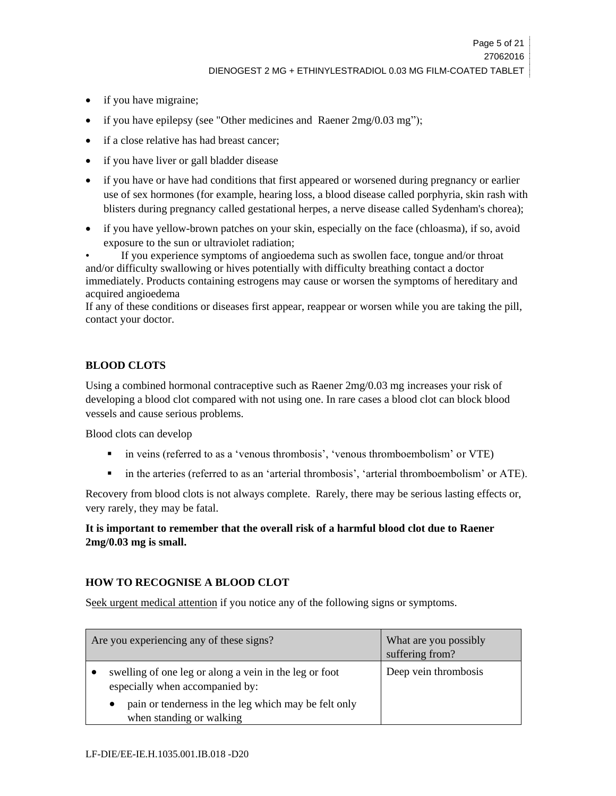- if you have migraine;
- if you have epilepsy (see "Other medicines and Raener 2mg/0.03 mg");
- if a close relative has had breast cancer;
- if you have liver or gall bladder disease
- if you have or have had conditions that first appeared or worsened during pregnancy or earlier use of sex hormones (for example, hearing loss, a blood disease called porphyria, skin rash with blisters during pregnancy called gestational herpes, a nerve disease called Sydenham's chorea);
- if you have yellow-brown patches on your skin, especially on the face (chloasma), if so, avoid exposure to the sun or ultraviolet radiation;

• If you experience symptoms of angioedema such as swollen face, tongue and/or throat and/or difficulty swallowing or hives potentially with difficulty breathing contact a doctor immediately. Products containing estrogens may cause or worsen the symptoms of hereditary and acquired angioedema

If any of these conditions or diseases first appear, reappear or worsen while you are taking the pill, contact your doctor.

# **BLOOD CLOTS**

Using a combined hormonal contraceptive such as Raener 2mg/0.03 mg increases your risk of developing a blood clot compared with not using one. In rare cases a blood clot can block blood vessels and cause serious problems.

Blood clots can develop

- in veins (referred to as a 'venous thrombosis', 'venous thromboembolism' or VTE)
- in the arteries (referred to as an 'arterial thrombosis', 'arterial thromboembolism' or ATE).

Recovery from blood clots is not always complete. Rarely, there may be serious lasting effects or, very rarely, they may be fatal.

**It is important to remember that the overall risk of a harmful blood clot due to Raener 2mg/0.03 mg is small.**

# **HOW TO RECOGNISE A BLOOD CLOT**

Seek urgent medical attention if you notice any of the following signs or symptoms.

| Are you experiencing any of these signs?                                                  | What are you possibly<br>suffering from? |
|-------------------------------------------------------------------------------------------|------------------------------------------|
| swelling of one leg or along a vein in the leg or foot<br>especially when accompanied by: | Deep vein thrombosis                     |
| pain or tenderness in the leg which may be felt only<br>when standing or walking          |                                          |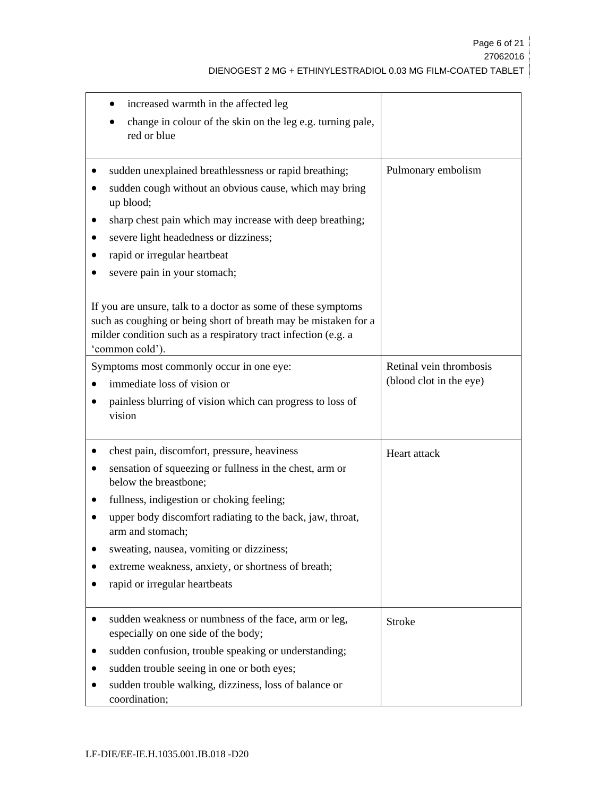| increased warmth in the affected leg<br>change in colour of the skin on the leg e.g. turning pale,<br>red or blue                                                                                                                                                                                                                                                                                                                                                                                                          |                                                    |
|----------------------------------------------------------------------------------------------------------------------------------------------------------------------------------------------------------------------------------------------------------------------------------------------------------------------------------------------------------------------------------------------------------------------------------------------------------------------------------------------------------------------------|----------------------------------------------------|
| sudden unexplained breathlessness or rapid breathing;<br>sudden cough without an obvious cause, which may bring<br>up blood;<br>sharp chest pain which may increase with deep breathing;<br>severe light headedness or dizziness;<br>rapid or irregular heartbeat<br>severe pain in your stomach;<br>If you are unsure, talk to a doctor as some of these symptoms<br>such as coughing or being short of breath may be mistaken for a<br>milder condition such as a respiratory tract infection (e.g. a<br>'common cold'). | Pulmonary embolism                                 |
| Symptoms most commonly occur in one eye:<br>immediate loss of vision or<br>painless blurring of vision which can progress to loss of<br>vision                                                                                                                                                                                                                                                                                                                                                                             | Retinal vein thrombosis<br>(blood clot in the eye) |
| chest pain, discomfort, pressure, heaviness<br>sensation of squeezing or fullness in the chest, arm or<br>below the breastbone;<br>fullness, indigestion or choking feeling;<br>upper body discomfort radiating to the back, jaw, throat,<br>arm and stomach;<br>sweating, nausea, vomiting or dizziness;<br>extreme weakness, anxiety, or shortness of breath;<br>rapid or irregular heartbeats                                                                                                                           | Heart attack                                       |
| sudden weakness or numbness of the face, arm or leg,<br>especially on one side of the body;<br>sudden confusion, trouble speaking or understanding;<br>sudden trouble seeing in one or both eyes;<br>sudden trouble walking, dizziness, loss of balance or<br>coordination;                                                                                                                                                                                                                                                | <b>Stroke</b>                                      |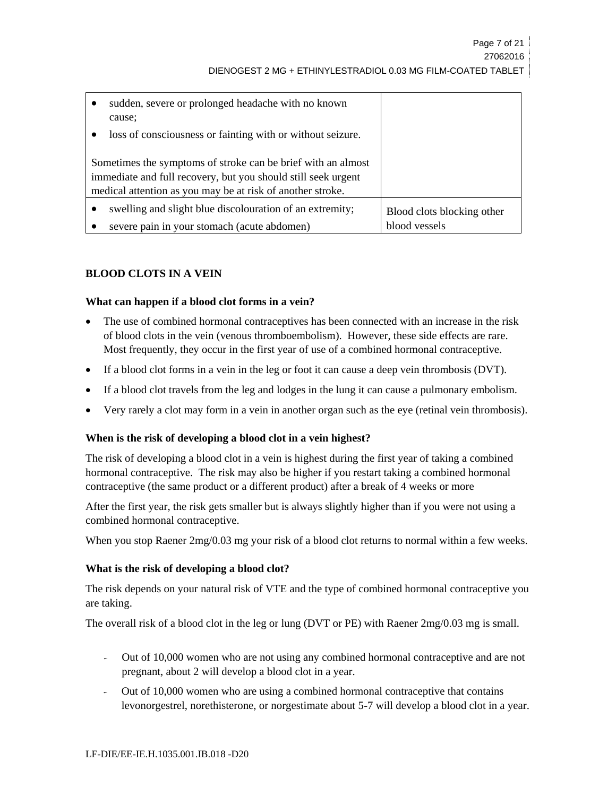| sudden, severe or prolonged headache with no known<br>cause:  |                            |
|---------------------------------------------------------------|----------------------------|
| loss of consciousness or fainting with or without seizure.    |                            |
| Sometimes the symptoms of stroke can be brief with an almost  |                            |
| immediate and full recovery, but you should still seek urgent |                            |
| medical attention as you may be at risk of another stroke.    |                            |
| swelling and slight blue discolouration of an extremity;      | Blood clots blocking other |
| severe pain in your stomach (acute abdomen)                   | blood vessels              |

# **BLOOD CLOTS IN A VEIN**

# **What can happen if a blood clot forms in a vein?**

- The use of combined hormonal contraceptives has been connected with an increase in the risk of blood clots in the vein (venous thromboembolism). However, these side effects are rare. Most frequently, they occur in the first year of use of a combined hormonal contraceptive.
- If a blood clot forms in a vein in the leg or foot it can cause a deep vein thrombosis (DVT).
- If a blood clot travels from the leg and lodges in the lung it can cause a pulmonary embolism.
- Very rarely a clot may form in a vein in another organ such as the eye (retinal vein thrombosis).

# **When is the risk of developing a blood clot in a vein highest?**

The risk of developing a blood clot in a vein is highest during the first year of taking a combined hormonal contraceptive. The risk may also be higher if you restart taking a combined hormonal contraceptive (the same product or a different product) after a break of 4 weeks or more

After the first year, the risk gets smaller but is always slightly higher than if you were not using a combined hormonal contraceptive.

When you stop Raener  $2mg/0.03$  mg your risk of a blood clot returns to normal within a few weeks.

# **What is the risk of developing a blood clot?**

The risk depends on your natural risk of VTE and the type of combined hormonal contraceptive you are taking.

The overall risk of a blood clot in the leg or lung (DVT or PE) with Raener 2mg/0.03 mg is small.

- Out of 10,000 women who are not using any combined hormonal contraceptive and are not pregnant, about 2 will develop a blood clot in a year.
- Out of 10,000 women who are using a combined hormonal contraceptive that contains levonorgestrel, norethisterone, or norgestimate about 5-7 will develop a blood clot in a year.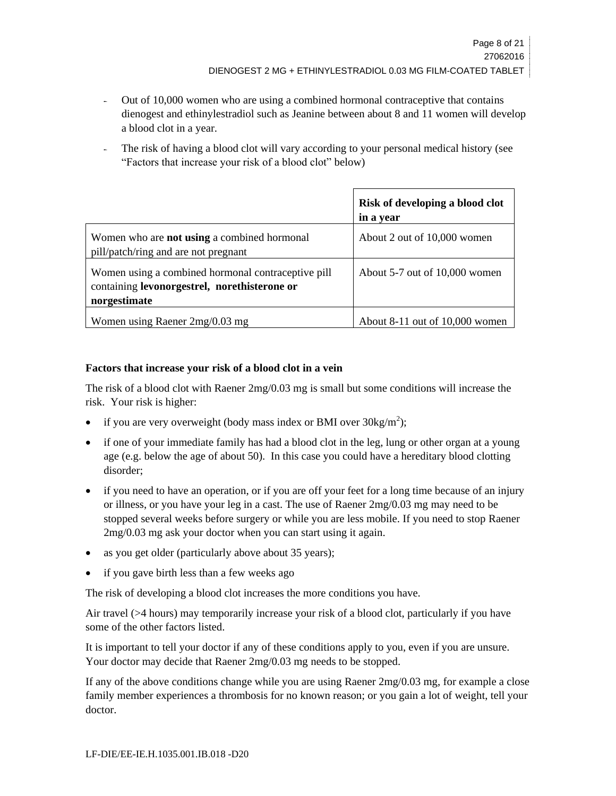- Out of 10,000 women who are using a combined hormonal contraceptive that contains dienogest and ethinylestradiol such as Jeanine between about 8 and 11 women will develop a blood clot in a year.
- The risk of having a blood clot will vary according to your personal medical history (see "Factors that increase your risk of a blood clot" below)

|                                                                                                                    | Risk of developing a blood clot<br>in a year |
|--------------------------------------------------------------------------------------------------------------------|----------------------------------------------|
| Women who are <b>not using</b> a combined hormonal<br>pill/patch/ring and are not pregnant                         | About 2 out of 10,000 women                  |
| Women using a combined hormonal contraceptive pill<br>containing levonorgestrel, norethisterone or<br>norgestimate | About 5-7 out of 10,000 women                |
| Women using Raener $2mg/0.03$ mg                                                                                   | About $8-11$ out of $10,000$ women           |

# **Factors that increase your risk of a blood clot in a vein**

The risk of a blood clot with Raener 2mg/0.03 mg is small but some conditions will increase the risk. Your risk is higher:

- if you are very overweight (body mass index or BMI over  $30\text{kg/m}^2$ );
- if one of your immediate family has had a blood clot in the leg, lung or other organ at a young age (e.g. below the age of about 50). In this case you could have a hereditary blood clotting disorder;
- if you need to have an operation, or if you are off your feet for a long time because of an injury or illness, or you have your leg in a cast. The use of Raener 2mg/0.03 mg may need to be stopped several weeks before surgery or while you are less mobile. If you need to stop Raener 2mg/0.03 mg ask your doctor when you can start using it again.
- as you get older (particularly above about 35 years);
- if you gave birth less than a few weeks ago

The risk of developing a blood clot increases the more conditions you have.

Air travel (>4 hours) may temporarily increase your risk of a blood clot, particularly if you have some of the other factors listed.

It is important to tell your doctor if any of these conditions apply to you, even if you are unsure. Your doctor may decide that Raener 2mg/0.03 mg needs to be stopped.

If any of the above conditions change while you are using Raener 2mg/0.03 mg, for example a close family member experiences a thrombosis for no known reason; or you gain a lot of weight, tell your doctor.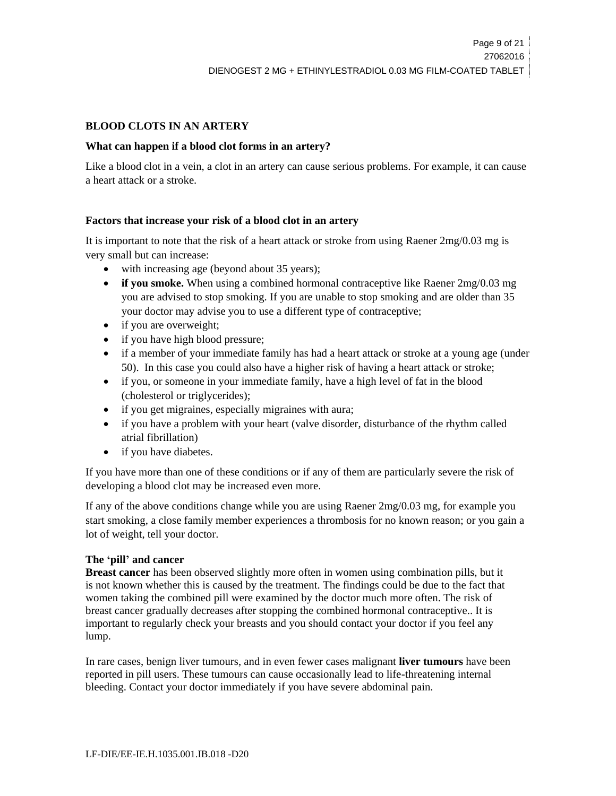# **BLOOD CLOTS IN AN ARTERY**

# **What can happen if a blood clot forms in an artery?**

Like a blood clot in a vein, a clot in an artery can cause serious problems. For example, it can cause a heart attack or a stroke.

# **Factors that increase your risk of a blood clot in an artery**

It is important to note that the risk of a heart attack or stroke from using Raener 2mg/0.03 mg is very small but can increase:

- with increasing age (beyond about 35 years);
- **if you smoke.** When using a combined hormonal contraceptive like Raener  $2mg/0.03$  mg you are advised to stop smoking. If you are unable to stop smoking and are older than 35 your doctor may advise you to use a different type of contraceptive;
- if you are overweight;
- if you have high blood pressure;
- if a member of your immediate family has had a heart attack or stroke at a young age (under 50). In this case you could also have a higher risk of having a heart attack or stroke;
- if you, or someone in your immediate family, have a high level of fat in the blood (cholesterol or triglycerides);
- if you get migraines, especially migraines with aura;
- if you have a problem with your heart (valve disorder, disturbance of the rhythm called atrial fibrillation)
- if you have diabetes.

If you have more than one of these conditions or if any of them are particularly severe the risk of developing a blood clot may be increased even more.

If any of the above conditions change while you are using Raener 2mg/0.03 mg, for example you start smoking, a close family member experiences a thrombosis for no known reason; or you gain a lot of weight, tell your doctor.

# **The 'pill' and cancer**

**Breast cancer** has been observed slightly more often in women using combination pills, but it is not known whether this is caused by the treatment. The findings could be due to the fact that women taking the combined pill were examined by the doctor much more often. The risk of breast cancer gradually decreases after stopping the combined hormonal contraceptive.. It is important to regularly check your breasts and you should contact your doctor if you feel any lump.

In rare cases, benign liver tumours, and in even fewer cases malignant **liver tumours** have been reported in pill users. These tumours can cause occasionally lead to life-threatening internal bleeding. Contact your doctor immediately if you have severe abdominal pain.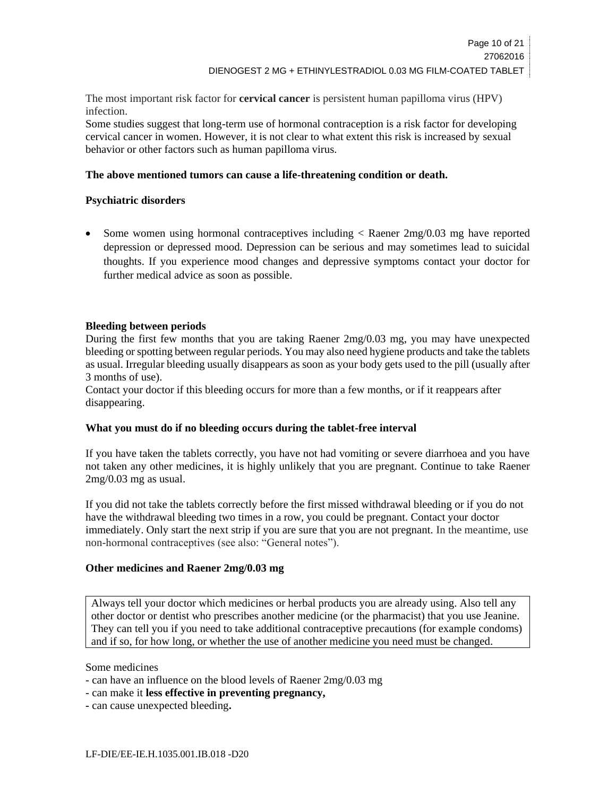The most important risk factor for **cervical cancer** is persistent human papilloma virus (HPV) infection.

Some studies suggest that long-term use of hormonal contraception is a risk factor for developing cervical cancer in women. However, it is not clear to what extent this risk is increased by sexual behavior or other factors such as human papilloma virus.

# **The above mentioned tumors can cause a life-threatening condition or death.**

#### **Psychiatric disorders**

 Some women using hormonal contraceptives including < Raener 2mg/0.03 mg have reported depression or depressed mood. Depression can be serious and may sometimes lead to suicidal thoughts. If you experience mood changes and depressive symptoms contact your doctor for further medical advice as soon as possible.

#### **Bleeding between periods**

During the first few months that you are taking Raener 2mg/0.03 mg, you may have unexpected bleeding or spotting between regular periods. You may also need hygiene products and take the tablets as usual. Irregular bleeding usually disappears as soon as your body gets used to the pill (usually after 3 months of use).

Contact your doctor if this bleeding occurs for more than a few months, or if it reappears after disappearing.

#### **What you must do if no bleeding occurs during the tablet-free interval**

If you have taken the tablets correctly, you have not had vomiting or severe diarrhoea and you have not taken any other medicines, it is highly unlikely that you are pregnant. Continue to take Raener 2mg/0.03 mg as usual.

If you did not take the tablets correctly before the first missed withdrawal bleeding or if you do not have the withdrawal bleeding two times in a row, you could be pregnant. Contact your doctor immediately. Only start the next strip if you are sure that you are not pregnant. In the meantime, use non-hormonal contraceptives (see also: "General notes").

#### **Other medicines and Raener 2mg/0.03 mg**

Always tell your doctor which medicines or herbal products you are already using. Also tell any other doctor or dentist who prescribes another medicine (or the pharmacist) that you use Jeanine. They can tell you if you need to take additional contraceptive precautions (for example condoms) and if so, for how long, or whether the use of another medicine you need must be changed.

Some medicines

- can have an influence on the blood levels of Raener 2mg/0.03 mg
- can make it **less effective in preventing pregnancy,**
- **-** can cause unexpected bleeding**.**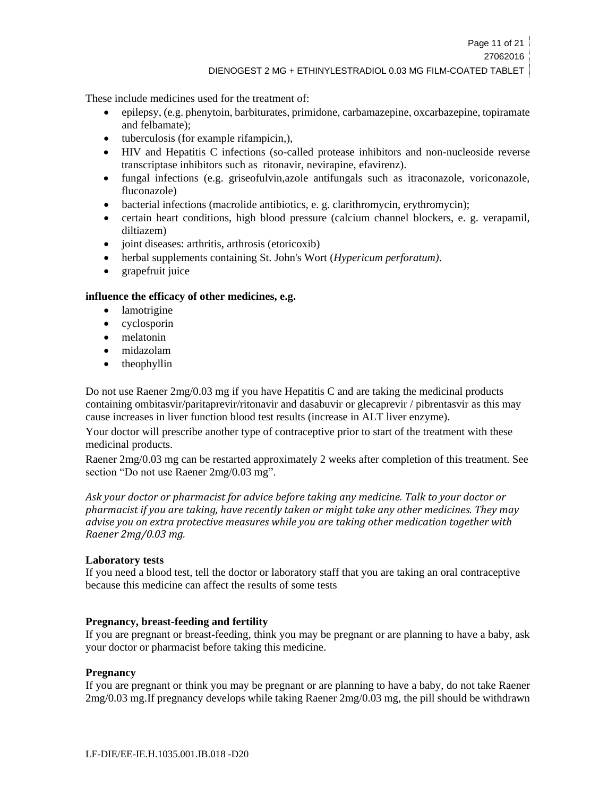DIENOGEST 2 MG + ETHINYLESTRADIOL 0.03 MG FILM-COATED TABLET

These include medicines used for the treatment of:

- epilepsy, (e.g. phenytoin, barbiturates, primidone, carbamazepine, oxcarbazepine, topiramate and felbamate);
- tuberculosis (for example rifampicin,),
- HIV and Hepatitis C infections (so-called protease inhibitors and non-nucleoside reverse transcriptase inhibitors such as ritonavir, nevirapine, efavirenz).
- fungal infections (e.g. griseofulvin,azole antifungals such as itraconazole, voriconazole, fluconazole)
- bacterial infections (macrolide antibiotics, e. g. clarithromycin, erythromycin);
- certain heart conditions, high blood pressure (calcium channel blockers, e. g. verapamil, diltiazem)
- joint diseases: arthritis, arthrosis (etoricoxib)
- herbal supplements containing St. John's Wort (*Hypericum perforatum)*.
- grapefruit juice

# **influence the efficacy of other medicines, e.g.**

- lamotrigine
- cyclosporin
- melatonin
- midazolam
- theophyllin

Do not use Raener 2mg/0.03 mg if you have Hepatitis C and are taking the medicinal products containing ombitasvir/paritaprevir/ritonavir and dasabuvir or glecaprevir / pibrentasvir as this may cause increases in liver function blood test results (increase in ALT liver enzyme).

Your doctor will prescribe another type of contraceptive prior to start of the treatment with these medicinal products.

Raener 2mg/0.03 mg can be restarted approximately 2 weeks after completion of this treatment. See section "Do not use Raener 2mg/0.03 mg".

*Ask your doctor or pharmacist for advice before taking any medicine. Talk to your doctor or pharmacist if you are taking, have recently taken or might take any other medicines. They may advise you on extra protective measures while you are taking other medication together with Raener 2mg/0.03 mg.*

#### **Laboratory tests**

If you need a blood test, tell the doctor or laboratory staff that you are taking an oral contraceptive because this medicine can affect the results of some tests

# **Pregnancy, breast-feeding and fertility**

If you are pregnant or breast-feeding, think you may be pregnant or are planning to have a baby, ask your doctor or pharmacist before taking this medicine.

# **Pregnancy**

If you are pregnant or think you may be pregnant or are planning to have a baby, do not take Raener 2mg/0.03 mg.If pregnancy develops while taking Raener 2mg/0.03 mg, the pill should be withdrawn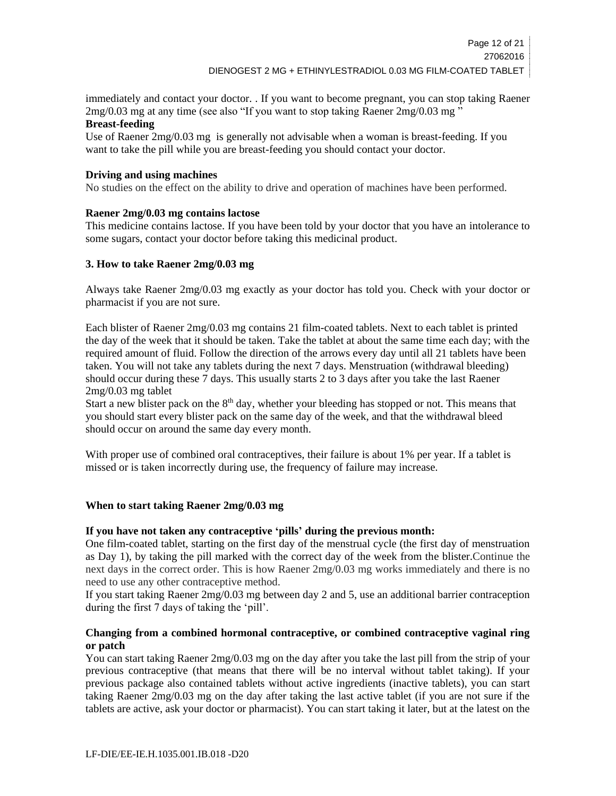immediately and contact your doctor. . If you want to become pregnant, you can stop taking Raener 2mg/0.03 mg at any time (see also "If you want to stop taking Raener 2mg/0.03 mg "

# **Breast-feeding**

Use of Raener 2mg/0.03 mg is generally not advisable when a woman is breast-feeding. If you want to take the pill while you are breast-feeding you should contact your doctor.

# **Driving and using machines**

No studies on the effect on the ability to drive and operation of machines have been performed.

# **Raener 2mg/0.03 mg contains lactose**

This medicine contains lactose. If you have been told by your doctor that you have an intolerance to some sugars, contact your doctor before taking this medicinal product.

# **3. How to take Raener 2mg/0.03 mg**

Always take Raener 2mg/0.03 mg exactly as your doctor has told you. Check with your doctor or pharmacist if you are not sure.

Each blister of Raener 2mg/0.03 mg contains 21 film-coated tablets. Next to each tablet is printed the day of the week that it should be taken. Take the tablet at about the same time each day; with the required amount of fluid. Follow the direction of the arrows every day until all 21 tablets have been taken. You will not take any tablets during the next 7 days. Menstruation (withdrawal bleeding) should occur during these 7 days. This usually starts 2 to 3 days after you take the last Raener 2mg/0.03 mg tablet

Start a new blister pack on the  $8<sup>th</sup>$  day, whether your bleeding has stopped or not. This means that you should start every blister pack on the same day of the week, and that the withdrawal bleed should occur on around the same day every month.

With proper use of combined oral contraceptives, their failure is about 1% per year. If a tablet is missed or is taken incorrectly during use, the frequency of failure may increase.

# **When to start taking Raener 2mg/0.03 mg**

# **If you have not taken any contraceptive 'pills' during the previous month:**

One film-coated tablet, starting on the first day of the menstrual cycle (the first day of menstruation as Day 1), by taking the pill marked with the correct day of the week from the blister.Continue the next days in the correct order. This is how Raener 2mg/0.03 mg works immediately and there is no need to use any other contraceptive method.

If you start taking Raener 2mg/0.03 mg between day 2 and 5, use an additional barrier contraception during the first 7 days of taking the 'pill'.

# **Changing from a combined hormonal contraceptive, or combined contraceptive vaginal ring or patch**

You can start taking Raener 2mg/0.03 mg on the day after you take the last pill from the strip of your previous contraceptive (that means that there will be no interval without tablet taking). If your previous package also contained tablets without active ingredients (inactive tablets), you can start taking Raener 2mg/0.03 mg on the day after taking the last active tablet (if you are not sure if the tablets are active, ask your doctor or pharmacist). You can start taking it later, but at the latest on the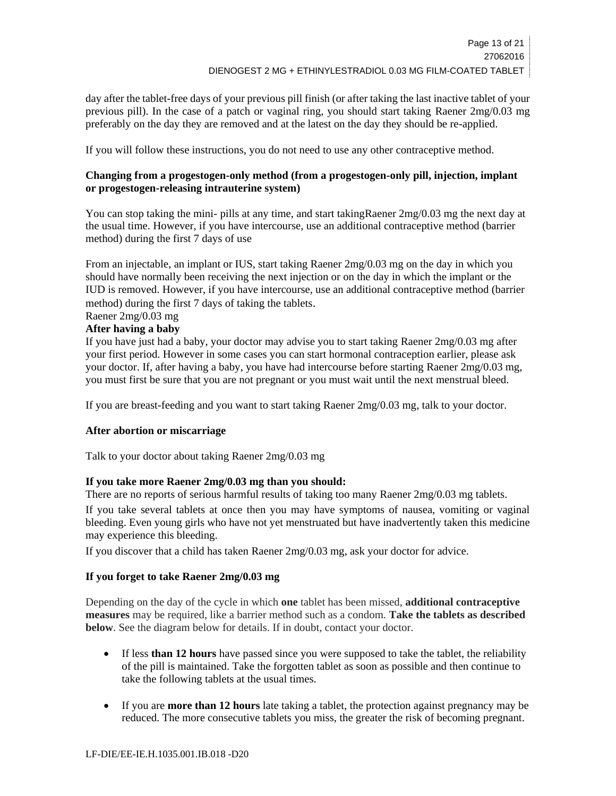day after the tablet-free days of your previous pill finish (or after taking the last inactive tablet of your previous pill). In the case of a patch or vaginal ring, you should start taking Raener 2mg/0.03 mg preferably on the day they are removed and at the latest on the day they should be re-applied.

If you will follow these instructions, you do not need to use any other contraceptive method.

# **Changing from a progestogen-only method (from a progestogen-only pill, injection, implant or progestogen-releasing intrauterine system)**

You can stop taking the mini- pills at any time, and start takingRaener 2mg/0.03 mg the next day at the usual time. However, if you have intercourse, use an additional contraceptive method (barrier method) during the first 7 days of use

From an injectable, an implant or IUS, start taking Raener 2mg/0.03 mg on the day in which you should have normally been receiving the next injection or on the day in which the implant or the IUD is removed. However, if you have intercourse, use an additional contraceptive method (barrier method) during the first 7 days of taking the tablets.

# Raener 2mg/0.03 mg

# **After having a baby**

If you have just had a baby, your doctor may advise you to start taking Raener 2mg/0.03 mg after your first period. However in some cases you can start hormonal contraception earlier, please ask your doctor. If, after having a baby, you have had intercourse before starting Raener 2mg/0.03 mg, you must first be sure that you are not pregnant or you must wait until the next menstrual bleed.

If you are breast-feeding and you want to start taking Raener 2mg/0.03 mg, talk to your doctor.

# **After abortion or miscarriage**

Talk to your doctor about taking Raener 2mg/0.03 mg

# **If you take more Raener 2mg/0.03 mg than you should:**

There are no reports of serious harmful results of taking too many Raener 2mg/0.03 mg tablets. If you take several tablets at once then you may have symptoms of nausea, vomiting or vaginal bleeding. Even young girls who have not yet menstruated but have inadvertently taken this medicine may experience this bleeding.

If you discover that a child has taken Raener 2mg/0.03 mg, ask your doctor for advice.

# **If you forget to take Raener 2mg/0.03 mg**

Depending on the day of the cycle in which **one** tablet has been missed, **additional contraceptive measures** may be required, like a barrier method such as a condom. **Take the tablets as described below**. See the diagram below for details. If in doubt, contact your doctor.

- If less **than 12 hours** have passed since you were supposed to take the tablet, the reliability of the pill is maintained. Take the forgotten tablet as soon as possible and then continue to take the following tablets at the usual times.
- If you are **more than 12 hours** late taking a tablet, the protection against pregnancy may be reduced. The more consecutive tablets you miss, the greater the risk of becoming pregnant.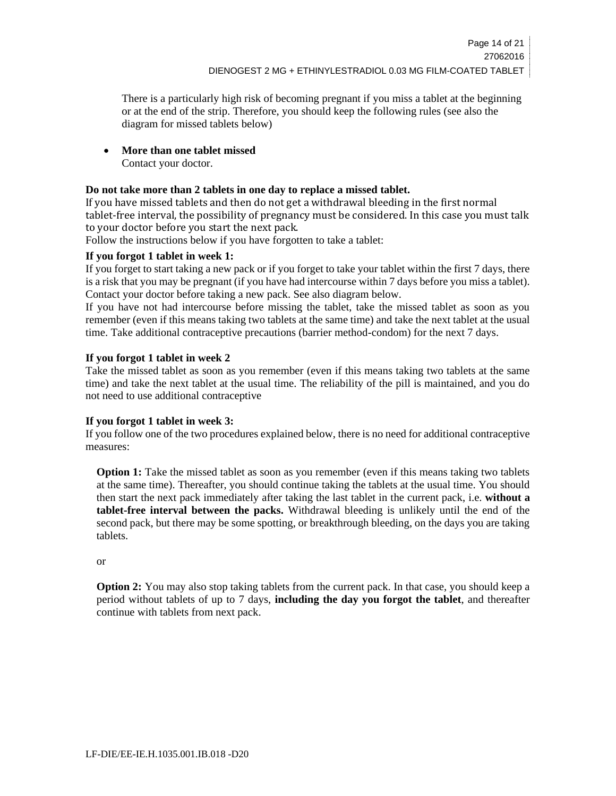There is a particularly high risk of becoming pregnant if you miss a tablet at the beginning or at the end of the strip. Therefore, you should keep the following rules (see also the diagram for missed tablets below)

**More than one tablet missed**

Contact your doctor.

# **Do not take more than 2 tablets in one day to replace a missed tablet.**

If you have missed tablets and then do not get a withdrawal bleeding in the first normal tablet-free interval, the possibility of pregnancy must be considered. In this case you must talk to your doctor before you start the next pack.

Follow the instructions below if you have forgotten to take a tablet:

# **If you forgot 1 tablet in week 1:**

If you forget to start taking a new pack or if you forget to take your tablet within the first 7 days, there is a risk that you may be pregnant (if you have had intercourse within 7 days before you miss a tablet). Contact your doctor before taking a new pack. See also diagram below.

If you have not had intercourse before missing the tablet, take the missed tablet as soon as you remember (even if this means taking two tablets at the same time) and take the next tablet at the usual time. Take additional contraceptive precautions (barrier method-condom) for the next 7 days.

# **If you forgot 1 tablet in week 2**

Take the missed tablet as soon as you remember (even if this means taking two tablets at the same time) and take the next tablet at the usual time. The reliability of the pill is maintained, and you do not need to use additional contraceptive

# **If you forgot 1 tablet in week 3:**

If you follow one of the two procedures explained below, there is no need for additional contraceptive measures:

**Option 1:** Take the missed tablet as soon as you remember (even if this means taking two tablets at the same time). Thereafter, you should continue taking the tablets at the usual time. You should then start the next pack immediately after taking the last tablet in the current pack, i.e. **without a tablet-free interval between the packs.** Withdrawal bleeding is unlikely until the end of the second pack, but there may be some spotting, or breakthrough bleeding, on the days you are taking tablets.

or

**Option 2:** You may also stop taking tablets from the current pack. In that case, you should keep a period without tablets of up to 7 days, **including the day you forgot the tablet**, and thereafter continue with tablets from next pack.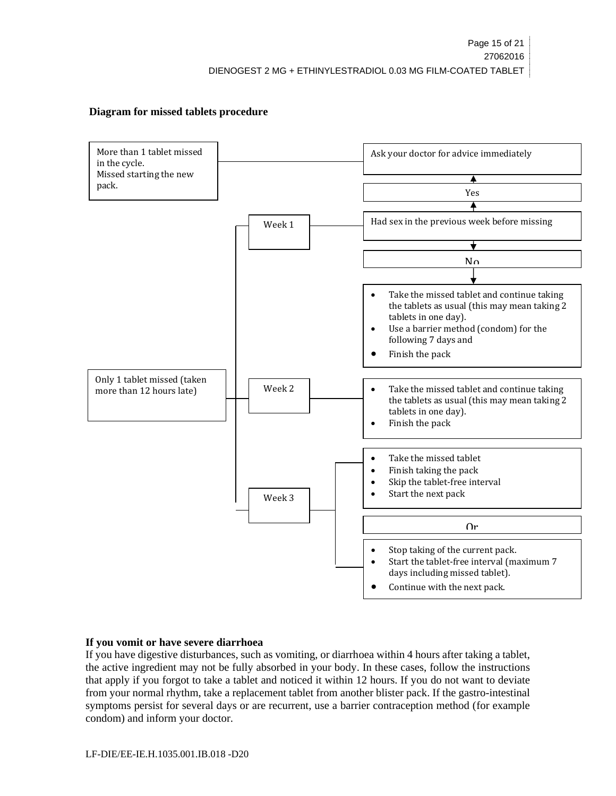# **Diagram for missed tablets procedure**



# **If you vomit or have severe diarrhoea**

If you have digestive disturbances, such as vomiting, or diarrhoea within 4 hours after taking a tablet, the active ingredient may not be fully absorbed in your body. In these cases, follow the instructions that apply if you forgot to take a tablet and noticed it within 12 hours. If you do not want to deviate from your normal rhythm, take a replacement tablet from another blister pack. If the gastro-intestinal symptoms persist for several days or are recurrent, use a barrier contraception method (for example condom) and inform your doctor.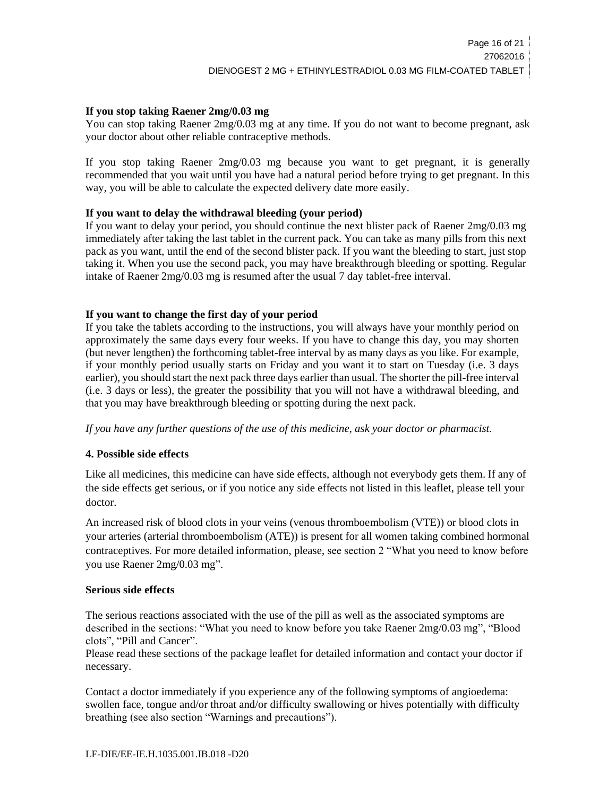#### **If you stop taking Raener 2mg/0.03 mg**

You can stop taking Raener 2mg/0.03 mg at any time. If you do not want to become pregnant, ask your doctor about other reliable contraceptive methods.

If you stop taking Raener 2mg/0.03 mg because you want to get pregnant, it is generally recommended that you wait until you have had a natural period before trying to get pregnant. In this way, you will be able to calculate the expected delivery date more easily.

#### **If you want to delay the withdrawal bleeding (your period)**

If you want to delay your period, you should continue the next blister pack of Raener 2mg/0.03 mg immediately after taking the last tablet in the current pack. You can take as many pills from this next pack as you want, until the end of the second blister pack. If you want the bleeding to start, just stop taking it. When you use the second pack, you may have breakthrough bleeding or spotting. Regular intake of Raener 2mg/0.03 mg is resumed after the usual 7 day tablet-free interval.

### **If you want to change the first day of your period**

If you take the tablets according to the instructions, you will always have your monthly period on approximately the same days every four weeks. If you have to change this day, you may shorten (but never lengthen) the forthcoming tablet-free interval by as many days as you like. For example, if your monthly period usually starts on Friday and you want it to start on Tuesday (i.e. 3 days earlier), you should start the next pack three days earlier than usual. The shorter the pill-free interval (i.e. 3 days or less), the greater the possibility that you will not have a withdrawal bleeding, and that you may have breakthrough bleeding or spotting during the next pack.

*If you have any further questions of the use of this medicine, ask your doctor or pharmacist.*

# **4. Possible side effects**

Like all medicines, this medicine can have side effects, although not everybody gets them. If any of the side effects get serious, or if you notice any side effects not listed in this leaflet, please tell your doctor.

An increased risk of blood clots in your veins (venous thromboembolism (VTE)) or blood clots in your arteries (arterial thromboembolism (ATE)) is present for all women taking combined hormonal contraceptives. For more detailed information, please, see section 2 "What you need to know before you use Raener 2mg/0.03 mg".

#### **Serious side effects**

The serious reactions associated with the use of the pill as well as the associated symptoms are described in the sections: "What you need to know before you take Raener 2mg/0.03 mg", "Blood clots", "Pill and Cancer".

Please read these sections of the package leaflet for detailed information and contact your doctor if necessary.

Contact a doctor immediately if you experience any of the following symptoms of angioedema: swollen face, tongue and/or throat and/or difficulty swallowing or hives potentially with difficulty breathing (see also section "Warnings and precautions").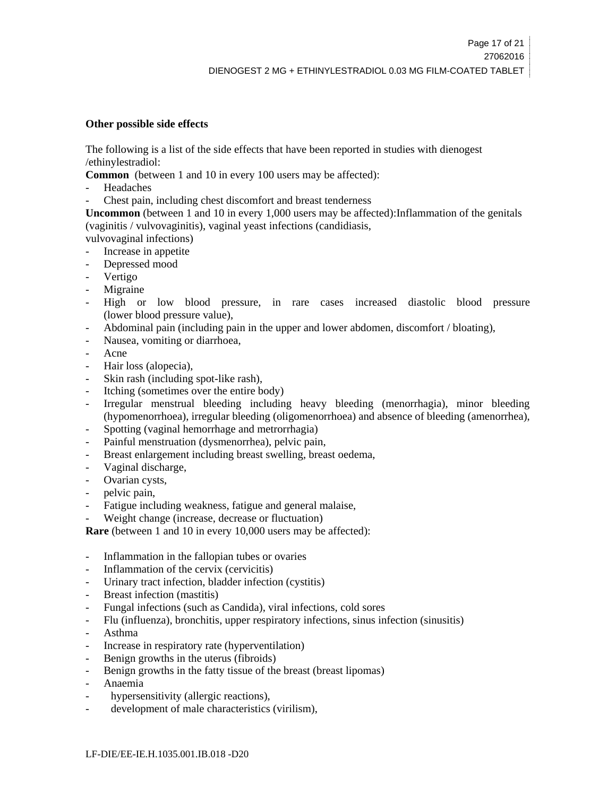#### **Other possible side effects**

The following is a list of the side effects that have been reported in studies with dienogest /ethinylestradiol:

**Common** (between 1 and 10 in every 100 users may be affected):

- Headaches
- Chest pain, including chest discomfort and breast tenderness

**Uncommon** (between 1 and 10 in every 1,000 users may be affected):Inflammation of the genitals (vaginitis / vulvovaginitis), vaginal yeast infections (candidiasis,

vulvovaginal infections)

- Increase in appetite
- Depressed mood
- **Vertigo**
- Migraine
- High or low blood pressure, in rare cases increased diastolic blood pressure (lower blood pressure value),
- Abdominal pain (including pain in the upper and lower abdomen, discomfort / bloating),
- Nausea, vomiting or diarrhoea,
- Acne
- Hair loss (alopecia),
- Skin rash (including spot-like rash),
- Itching (sometimes over the entire body)
- Irregular menstrual bleeding including heavy bleeding (menorrhagia), minor bleeding (hypomenorrhoea), irregular bleeding (oligomenorrhoea) and absence of bleeding (amenorrhea),
- Spotting (vaginal hemorrhage and metrorrhagia)
- Painful menstruation (dysmenorrhea), pelvic pain,
- Breast enlargement including breast swelling, breast oedema,
- Vaginal discharge,
- Ovarian cysts,
- pelvic pain,
- Fatigue including weakness, fatigue and general malaise,
- Weight change (increase, decrease or fluctuation)

**Rare** (between 1 and 10 in every 10,000 users may be affected):

- Inflammation in the fallopian tubes or ovaries
- Inflammation of the cervix (cervicitis)
- Urinary tract infection, bladder infection (cystitis)
- Breast infection (mastitis)
- Fungal infections (such as Candida), viral infections, cold sores
- Flu (influenza), bronchitis, upper respiratory infections, sinus infection (sinusitis)
- Asthma
- Increase in respiratory rate (hyperventilation)
- Benign growths in the uterus (fibroids)
- Benign growths in the fatty tissue of the breast (breast lipomas)
- Anaemia
- hypersensitivity (allergic reactions),
- development of male characteristics (virilism),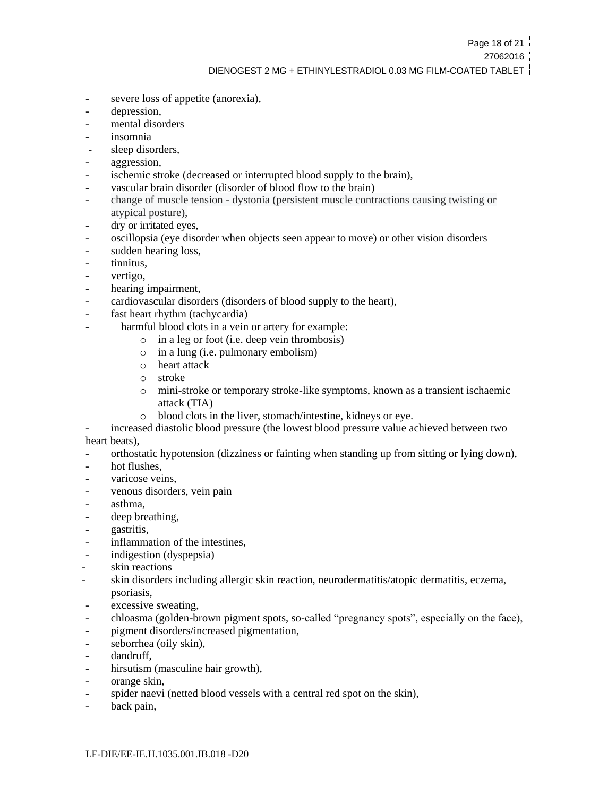- severe loss of appetite (anorexia),
- depression,
- mental disorders
- insomnia
- sleep disorders,
- aggression,
- ischemic stroke (decreased or interrupted blood supply to the brain),
- vascular brain disorder (disorder of blood flow to the brain)
- change of muscle tension dystonia (persistent muscle contractions causing twisting or atypical posture),
- dry or irritated eyes,
- oscillopsia (eye disorder when objects seen appear to move) or other vision disorders
- sudden hearing loss.
- tinnitus.
- vertigo,
- hearing impairment,
- cardiovascular disorders (disorders of blood supply to the heart),
- fast heart rhythm (tachycardia)
	- harmful blood clots in a vein or artery for example:
		- o in a leg or foot (i.e. deep vein thrombosis)
		- o in a lung (i.e. pulmonary embolism)
		- o heart attack
		- o stroke
		- o mini-stroke or temporary stroke-like symptoms, known as a transient ischaemic attack (TIA)
		- o blood clots in the liver, stomach/intestine, kidneys or eye.

increased diastolic blood pressure (the lowest blood pressure value achieved between two heart beats),

- orthostatic hypotension (dizziness or fainting when standing up from sitting or lying down),
- hot flushes.
- varicose veins.
- venous disorders, vein pain
- asthma,
- deep breathing,
- gastritis,
- inflammation of the intestines,
- indigestion (dyspepsia)
- skin reactions
- skin disorders including allergic skin reaction, neurodermatitis/atopic dermatitis, eczema, psoriasis,
- excessive sweating,
- chloasma (golden-brown pigment spots, so-called "pregnancy spots", especially on the face),
- pigment disorders/increased pigmentation,
- seborrhea (oily skin),
- dandruff,
- hirsutism (masculine hair growth),
- orange skin,
- spider naevi (netted blood vessels with a central red spot on the skin),
- back pain,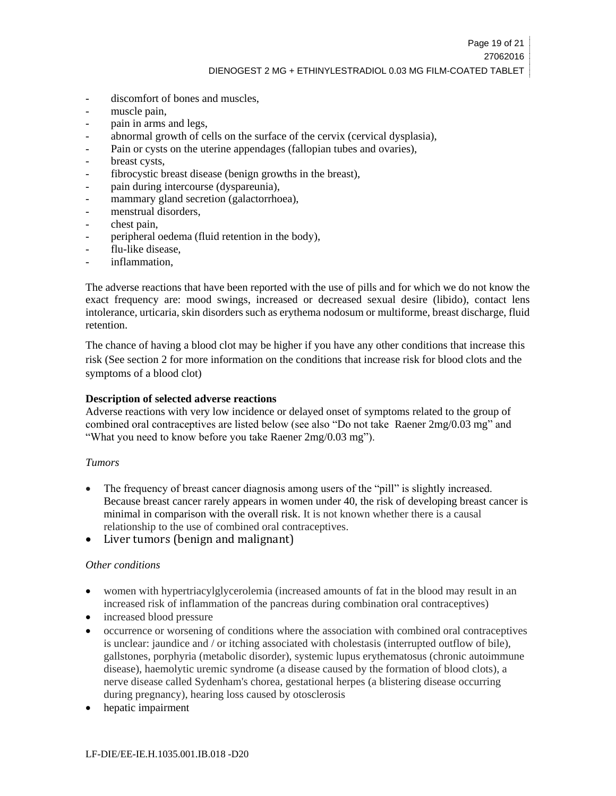- discomfort of bones and muscles,
- muscle pain,
- pain in arms and legs,
- abnormal growth of cells on the surface of the cervix (cervical dysplasia),
- Pain or cysts on the uterine appendages (fallopian tubes and ovaries),
- breast cysts,
- fibrocystic breast disease (benign growths in the breast),
- pain during intercourse (dyspareunia),
- mammary gland secretion (galactorrhoea),
- menstrual disorders,
- chest pain,
- peripheral oedema (fluid retention in the body),
- flu-like disease,
- inflammation.

The adverse reactions that have been reported with the use of pills and for which we do not know the exact frequency are: mood swings, increased or decreased sexual desire (libido), contact lens intolerance, urticaria, skin disorders such as erythema nodosum or multiforme, breast discharge, fluid retention.

The chance of having a blood clot may be higher if you have any other conditions that increase this risk (See section 2 for more information on the conditions that increase risk for blood clots and the symptoms of a blood clot)

#### **Description of selected adverse reactions**

Adverse reactions with very low incidence or delayed onset of symptoms related to the group of combined oral contraceptives are listed below (see also "Do not take Raener 2mg/0.03 mg" and "What you need to know before you take Raener 2mg/0.03 mg").

#### *Tumors*

- The frequency of breast cancer diagnosis among users of the "pill" is slightly increased. Because breast cancer rarely appears in women under 40, the risk of developing breast cancer is minimal in comparison with the overall risk. It is not known whether there is a causal relationship to the use of combined oral contraceptives.
- Liver tumors (benign and malignant)

#### *Other conditions*

- women with hypertriacylglycerolemia (increased amounts of fat in the blood may result in an increased risk of inflammation of the pancreas during combination oral contraceptives)
- increased blood pressure
- occurrence or worsening of conditions where the association with combined oral contraceptives is unclear: jaundice and / or itching associated with cholestasis (interrupted outflow of bile), gallstones, porphyria (metabolic disorder), systemic lupus erythematosus (chronic autoimmune disease), haemolytic uremic syndrome (a disease caused by the formation of blood clots), a nerve disease called Sydenham's chorea, gestational herpes (a blistering disease occurring during pregnancy), hearing loss caused by otosclerosis
- hepatic impairment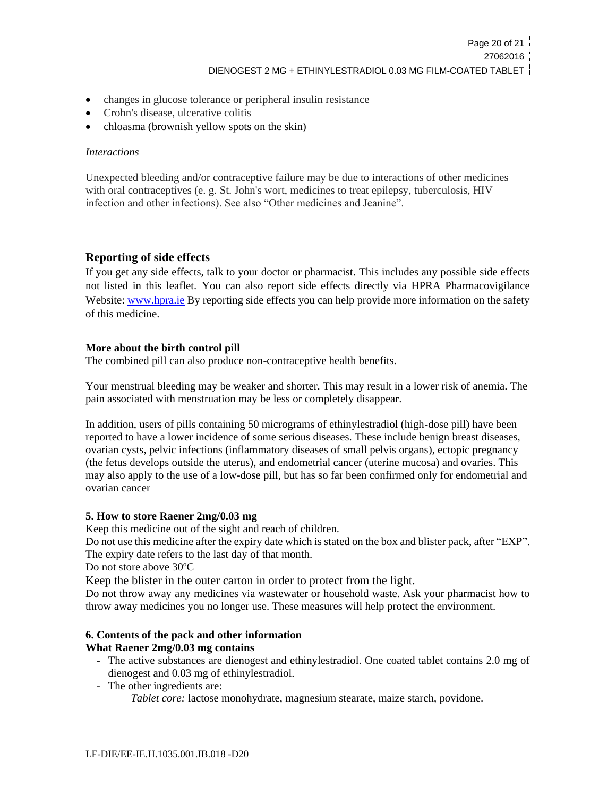- changes in glucose tolerance or peripheral insulin resistance
- Crohn's disease, ulcerative colitis
- chloasma (brownish yellow spots on the skin)

### *Interactions*

Unexpected bleeding and/or contraceptive failure may be due to interactions of other medicines with oral contraceptives (e. g. St. John's wort, medicines to treat epilepsy, tuberculosis, HIV infection and other infections). See also "Other medicines and Jeanine".

# **Reporting of side effects**

If you get any side effects, talk to your doctor or pharmacist. This includes any possible side effects not listed in this leaflet. You can also report side effects directly via HPRA Pharmacovigilance Website[: www.hpra.ie](http://www.hpra.ie/) By reporting side effects you can help provide more information on the safety of this medicine.

# **More about the birth control pill**

The combined pill can also produce non-contraceptive health benefits.

Your menstrual bleeding may be weaker and shorter. This may result in a lower risk of anemia. The pain associated with menstruation may be less or completely disappear.

In addition, users of pills containing 50 micrograms of ethinylestradiol (high-dose pill) have been reported to have a lower incidence of some serious diseases. These include benign breast diseases, ovarian cysts, pelvic infections (inflammatory diseases of small pelvis organs), ectopic pregnancy (the fetus develops outside the uterus), and endometrial cancer (uterine mucosa) and ovaries. This may also apply to the use of a low-dose pill, but has so far been confirmed only for endometrial and ovarian cancer

# **5. How to store Raener 2mg/0.03 mg**

Keep this medicine out of the sight and reach of children.

Do not use this medicine after the expiry date which is stated on the box and blister pack, after "EXP". The expiry date refers to the last day of that month.

Do not store above 30ºC

Keep the blister in the outer carton in order to protect from the light.

Do not throw away any medicines via wastewater or household waste. Ask your pharmacist how to throw away medicines you no longer use. These measures will help protect the environment.

#### **6. Contents of the pack and other information What Raener 2mg/0.03 mg contains**

- The active substances are dienogest and ethinylestradiol. One coated tablet contains 2.0 mg of dienogest and 0.03 mg of ethinylestradiol.
- The other ingredients are:

*Tablet core:* lactose monohydrate, magnesium stearate, maize starch, povidone.